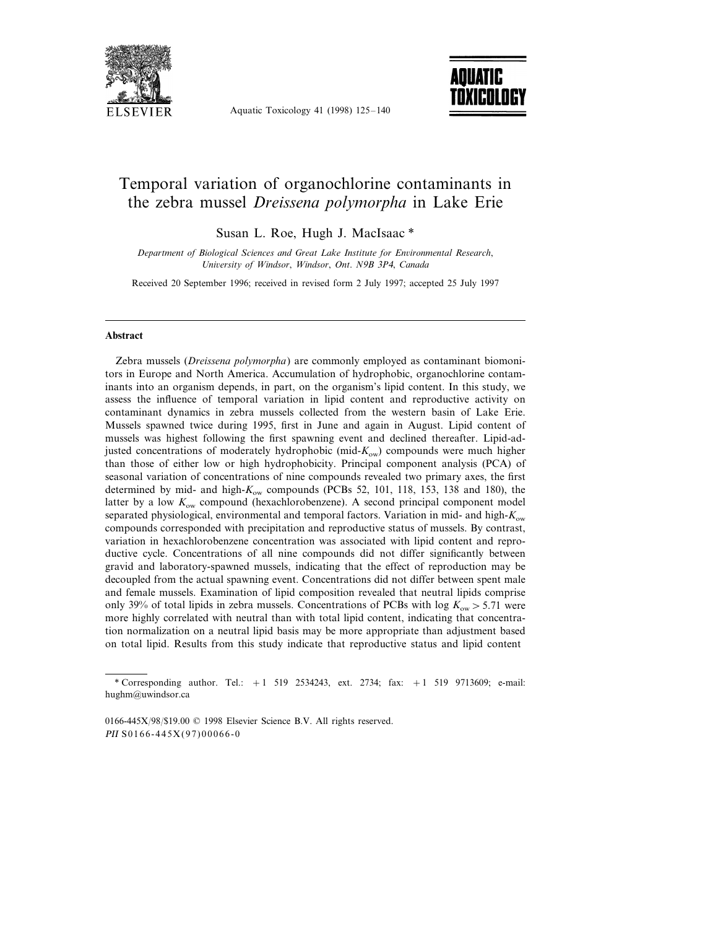

Aquatic Toxicology 41 (1998) 125–140



# Temporal variation of organochlorine contaminants in the zebra mussel *Dreissena polymorpha* in Lake Erie

Susan L. Roe, Hugh J. MacIsaac \*

**Department of Biological Sciences and Great Lake Institute for Environmental Research,** *Uni*6*ersity of Windsor*, *Windsor*, *Ont*. *N*9*B* <sup>3</sup>*P*4, *Canada*

Received 20 September 1996; received in revised form 2 July 1997; accepted 25 July 1997

#### **Abstract**

Zebra mussels (*Dreissena polymorpha*) are commonly employed as contaminant biomonitors in Europe and North America. Accumulation of hydrophobic, organochlorine contaminants into an organism depends, in part, on the organism's lipid content. In this study, we assess the influence of temporal variation in lipid content and reproductive activity on contaminant dynamics in zebra mussels collected from the western basin of Lake Erie. Mussels spawned twice during 1995, first in June and again in August. Lipid content of mussels was highest following the first spawning event and declined thereafter. Lipid-adjusted concentrations of moderately hydrophobic (mid- $K_{ow}$ ) compounds were much higher than those of either low or high hydrophobicity. Principal component analysis (PCA) of seasonal variation of concentrations of nine compounds revealed two primary axes, the first determined by mid- and high-*K*ow compounds (PCBs 52, 101, 118, 153, 138 and 180), the latter by a low  $K_{ow}$  compound (hexachlorobenzene). A second principal component model separated physiological, environmental and temporal factors. Variation in mid- and high-*K*ow compounds corresponded with precipitation and reproductive status of mussels. By contrast, variation in hexachlorobenzene concentration was associated with lipid content and reproductive cycle. Concentrations of all nine compounds did not differ significantly between gravid and laboratory-spawned mussels, indicating that the effect of reproduction may be decoupled from the actual spawning event. Concentrations did not differ between spent male and female mussels. Examination of lipid composition revealed that neutral lipids comprise only 39% of total lipids in zebra mussels. Concentrations of PCBs with log  $K_{\text{ow}} > 5.71$  were more highly correlated with neutral than with total lipid content, indicating that concentration normalization on a neutral lipid basis may be more appropriate than adjustment based on total lipid. Results from this study indicate that reproductive status and lipid content

<sup>\*</sup> Corresponding author. Tel.: +1 519 2534243, ext. 2734; fax: +1 519 9713609; e-mail: hughm@uwindsor.ca

<sup>0166-445</sup>X/98/\$19.00 © 1998 Elsevier Science B.V. All rights reserved. PII S0166-445X(97)00066-0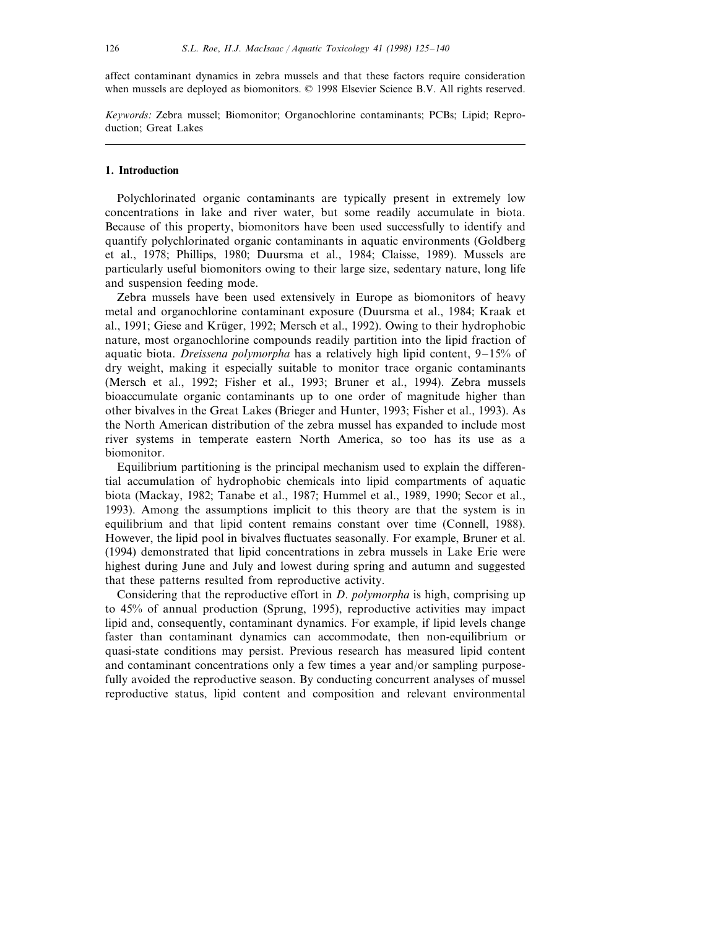affect contaminant dynamics in zebra mussels and that these factors require consideration when mussels are deployed as biomonitors. © 1998 Elsevier Science B.V. All rights reserved.

*Keywords*: Zebra mussel; Biomonitor; Organochlorine contaminants; PCBs; Lipid; Reproduction; Great Lakes

## **1. Introduction**

Polychlorinated organic contaminants are typically present in extremely low concentrations in lake and river water, but some readily accumulate in biota. Because of this property, biomonitors have been used successfully to identify and quantify polychlorinated organic contaminants in aquatic environments (Goldberg et al., 1978; Phillips, 1980; Duursma et al., 1984; Claisse, 1989). Mussels are particularly useful biomonitors owing to their large size, sedentary nature, long life and suspension feeding mode.

Zebra mussels have been used extensively in Europe as biomonitors of heavy metal and organochlorine contaminant exposure (Duursma et al., 1984; Kraak et al., 1991; Giese and Krüger, 1992; Mersch et al., 1992). Owing to their hydrophobic nature, most organochlorine compounds readily partition into the lipid fraction of aquatic biota. *Dreissena polymorpha* has a relatively high lipid content, 9–15% of dry weight, making it especially suitable to monitor trace organic contaminants (Mersch et al., 1992; Fisher et al., 1993; Bruner et al., 1994). Zebra mussels bioaccumulate organic contaminants up to one order of magnitude higher than other bivalves in the Great Lakes (Brieger and Hunter, 1993; Fisher et al., 1993). As the North American distribution of the zebra mussel has expanded to include most river systems in temperate eastern North America, so too has its use as a biomonitor.

Equilibrium partitioning is the principal mechanism used to explain the differential accumulation of hydrophobic chemicals into lipid compartments of aquatic biota (Mackay, 1982; Tanabe et al., 1987; Hummel et al., 1989, 1990; Secor et al., 1993). Among the assumptions implicit to this theory are that the system is in equilibrium and that lipid content remains constant over time (Connell, 1988). However, the lipid pool in bivalves fluctuates seasonally. For example, Bruner et al. (1994) demonstrated that lipid concentrations in zebra mussels in Lake Erie were highest during June and July and lowest during spring and autumn and suggested that these patterns resulted from reproductive activity.

Considering that the reproductive effort in *D*. *polymorpha* is high, comprising up to 45% of annual production (Sprung, 1995), reproductive activities may impact lipid and, consequently, contaminant dynamics. For example, if lipid levels change faster than contaminant dynamics can accommodate, then non-equilibrium or quasi-state conditions may persist. Previous research has measured lipid content and contaminant concentrations only a few times a year and/or sampling purposefully avoided the reproductive season. By conducting concurrent analyses of mussel reproductive status, lipid content and composition and relevant environmental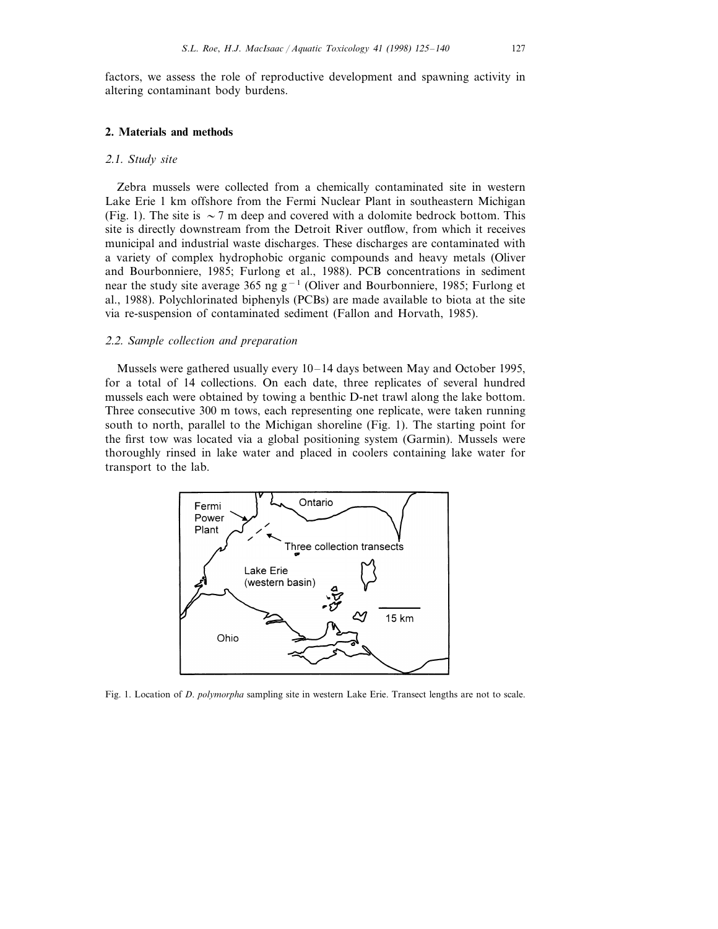factors, we assess the role of reproductive development and spawning activity in altering contaminant body burdens.

#### **2. Materials and methods**

#### 2.1. *Study site*

Zebra mussels were collected from a chemically contaminated site in western Lake Erie 1 km offshore from the Fermi Nuclear Plant in southeastern Michigan (Fig. 1). The site is  $\sim$  7 m deep and covered with a dolomite bedrock bottom. This site is directly downstream from the Detroit River outflow, from which it receives municipal and industrial waste discharges. These discharges are contaminated with a variety of complex hydrophobic organic compounds and heavy metals (Oliver and Bourbonniere, 1985; Furlong et al., 1988). PCB concentrations in sediment near the study site average 365 ng g<sup>-1</sup> (Oliver and Bourbonniere, 1985; Furlong et al., 1988). Polychlorinated biphenyls (PCBs) are made available to biota at the site via re-suspension of contaminated sediment (Fallon and Horvath, 1985).

#### 2.2. *Sample collection and preparation*

Mussels were gathered usually every 10–14 days between May and October 1995, for a total of 14 collections. On each date, three replicates of several hundred mussels each were obtained by towing a benthic D-net trawl along the lake bottom. Three consecutive 300 m tows, each representing one replicate, were taken running south to north, parallel to the Michigan shoreline (Fig. 1). The starting point for the first tow was located via a global positioning system (Garmin). Mussels were thoroughly rinsed in lake water and placed in coolers containing lake water for transport to the lab.



Fig. 1. Location of *D*. *polymorpha* sampling site in western Lake Erie. Transect lengths are not to scale.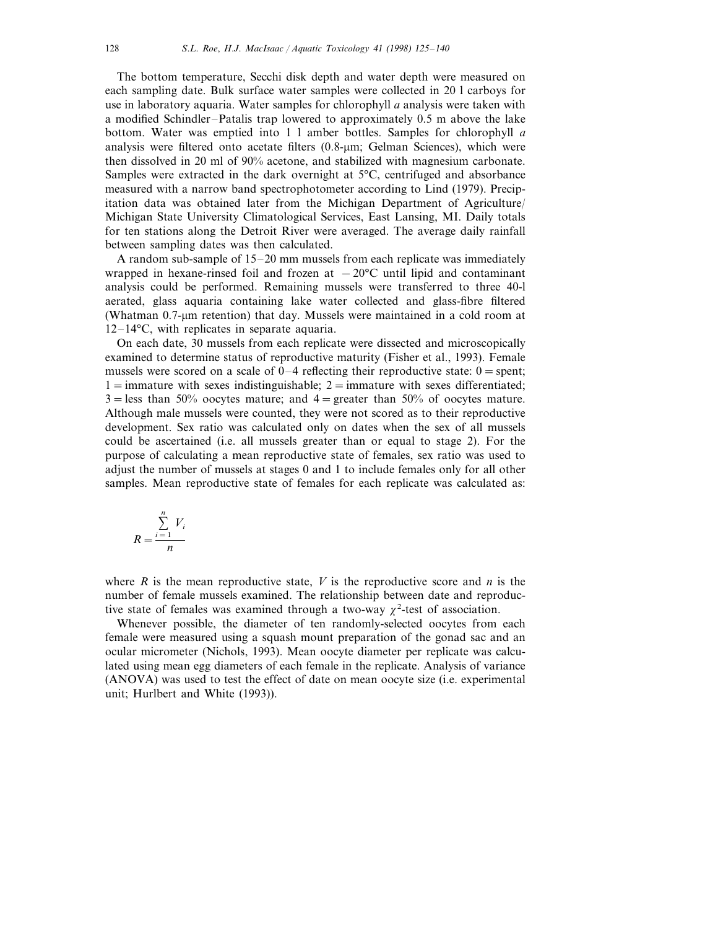The bottom temperature, Secchi disk depth and water depth were measured on each sampling date. Bulk surface water samples were collected in 20 l carboys for use in laboratory aquaria. Water samples for chlorophyll *a* analysis were taken with a modified Schindler–Patalis trap lowered to approximately 0.5 m above the lake bottom. Water was emptied into 1 l amber bottles. Samples for chlorophyll *a* analysis were filtered onto acetate filters  $(0.8 \text{-} \mu \text{m})$ ; Gelman Sciences), which were then dissolved in 20 ml of 90% acetone, and stabilized with magnesium carbonate. Samples were extracted in the dark overnight at 5°C, centrifuged and absorbance measured with a narrow band spectrophotometer according to Lind (1979). Precipitation data was obtained later from the Michigan Department of Agriculture/ Michigan State University Climatological Services, East Lansing, MI. Daily totals for ten stations along the Detroit River were averaged. The average daily rainfall between sampling dates was then calculated.

A random sub-sample of 15–20 mm mussels from each replicate was immediately wrapped in hexane-rinsed foil and frozen at  $-20^{\circ}$ C until lipid and contaminant analysis could be performed. Remaining mussels were transferred to three 40-l aerated, glass aquaria containing lake water collected and glass-fibre filtered (Whatman  $0.7$ -µm retention) that day. Mussels were maintained in a cold room at 12–14°C, with replicates in separate aquaria.

On each date, 30 mussels from each replicate were dissected and microscopically examined to determine status of reproductive maturity (Fisher et al., 1993). Female mussels were scored on a scale of  $0-4$  reflecting their reproductive state:  $0 =$  spent;  $1 =$ immature with sexes indistinguishable;  $2 =$ immature with sexes differentiated;  $3 =$ less than 50% oocytes mature; and  $4 =$ greater than 50% of oocytes mature. Although male mussels were counted, they were not scored as to their reproductive development. Sex ratio was calculated only on dates when the sex of all mussels could be ascertained (i.e. all mussels greater than or equal to stage 2). For the purpose of calculating a mean reproductive state of females, sex ratio was used to adjust the number of mussels at stages 0 and 1 to include females only for all other samples. Mean reproductive state of females for each replicate was calculated as:

$$
R = \frac{\sum_{i=1}^{n} V_i}{n}
$$

where  $R$  is the mean reproductive state,  $V$  is the reproductive score and  $n$  is the number of female mussels examined. The relationship between date and reproductive state of females was examined through a two-way  $\chi^2$ -test of association.

Whenever possible, the diameter of ten randomly-selected oocytes from each female were measured using a squash mount preparation of the gonad sac and an ocular micrometer (Nichols, 1993). Mean oocyte diameter per replicate was calculated using mean egg diameters of each female in the replicate. Analysis of variance (ANOVA) was used to test the effect of date on mean oocyte size (i.e. experimental unit; Hurlbert and White (1993)).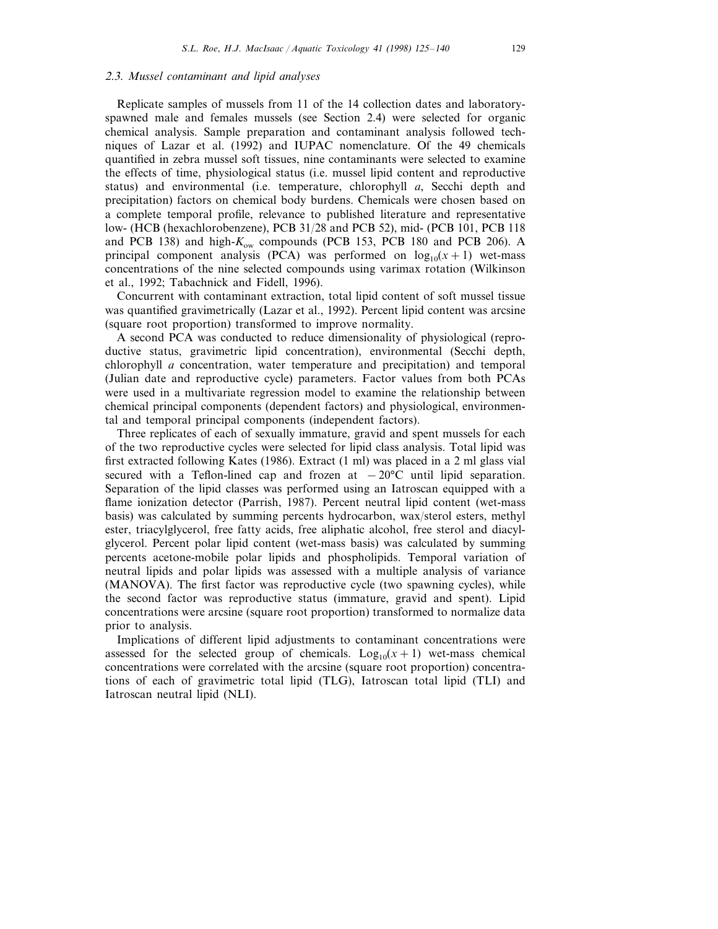## 2.3. *Mussel contaminant and lipid analyses*

Replicate samples of mussels from 11 of the 14 collection dates and laboratoryspawned male and females mussels (see Section 2.4) were selected for organic chemical analysis. Sample preparation and contaminant analysis followed techniques of Lazar et al. (1992) and IUPAC nomenclature. Of the 49 chemicals quantified in zebra mussel soft tissues, nine contaminants were selected to examine the effects of time, physiological status (i.e. mussel lipid content and reproductive status) and environmental (i.e. temperature, chlorophyll *a*, Secchi depth and precipitation) factors on chemical body burdens. Chemicals were chosen based on a complete temporal profile, relevance to published literature and representative low- (HCB (hexachlorobenzene), PCB 31/28 and PCB 52), mid- (PCB 101, PCB 118 and PCB 138) and high-*K*ow compounds (PCB 153, PCB 180 and PCB 206). A principal component analysis (PCA) was performed on  $log_{10}(x + 1)$  wet-mass concentrations of the nine selected compounds using varimax rotation (Wilkinson et al., 1992; Tabachnick and Fidell, 1996).

Concurrent with contaminant extraction, total lipid content of soft mussel tissue was quantified gravimetrically (Lazar et al., 1992). Percent lipid content was arcsine (square root proportion) transformed to improve normality.

A second PCA was conducted to reduce dimensionality of physiological (reproductive status, gravimetric lipid concentration), environmental (Secchi depth, chlorophyll *a* concentration, water temperature and precipitation) and temporal (Julian date and reproductive cycle) parameters. Factor values from both PCAs were used in a multivariate regression model to examine the relationship between chemical principal components (dependent factors) and physiological, environmental and temporal principal components (independent factors).

Three replicates of each of sexually immature, gravid and spent mussels for each of the two reproductive cycles were selected for lipid class analysis. Total lipid was first extracted following Kates (1986). Extract (1 ml) was placed in a 2 ml glass vial secured with a Teflon-lined cap and frozen at  $-20^{\circ}$ C until lipid separation. Separation of the lipid classes was performed using an Iatroscan equipped with a flame ionization detector (Parrish, 1987). Percent neutral lipid content (wet-mass basis) was calculated by summing percents hydrocarbon, wax/sterol esters, methyl ester, triacylglycerol, free fatty acids, free aliphatic alcohol, free sterol and diacylglycerol. Percent polar lipid content (wet-mass basis) was calculated by summing percents acetone-mobile polar lipids and phospholipids. Temporal variation of neutral lipids and polar lipids was assessed with a multiple analysis of variance (MANOVA). The first factor was reproductive cycle (two spawning cycles), while the second factor was reproductive status (immature, gravid and spent). Lipid concentrations were arcsine (square root proportion) transformed to normalize data prior to analysis.

Implications of different lipid adjustments to contaminant concentrations were assessed for the selected group of chemicals.  $Log_{10}(x + 1)$  wet-mass chemical concentrations were correlated with the arcsine (square root proportion) concentrations of each of gravimetric total lipid (TLG), Iatroscan total lipid (TLI) and Iatroscan neutral lipid (NLI).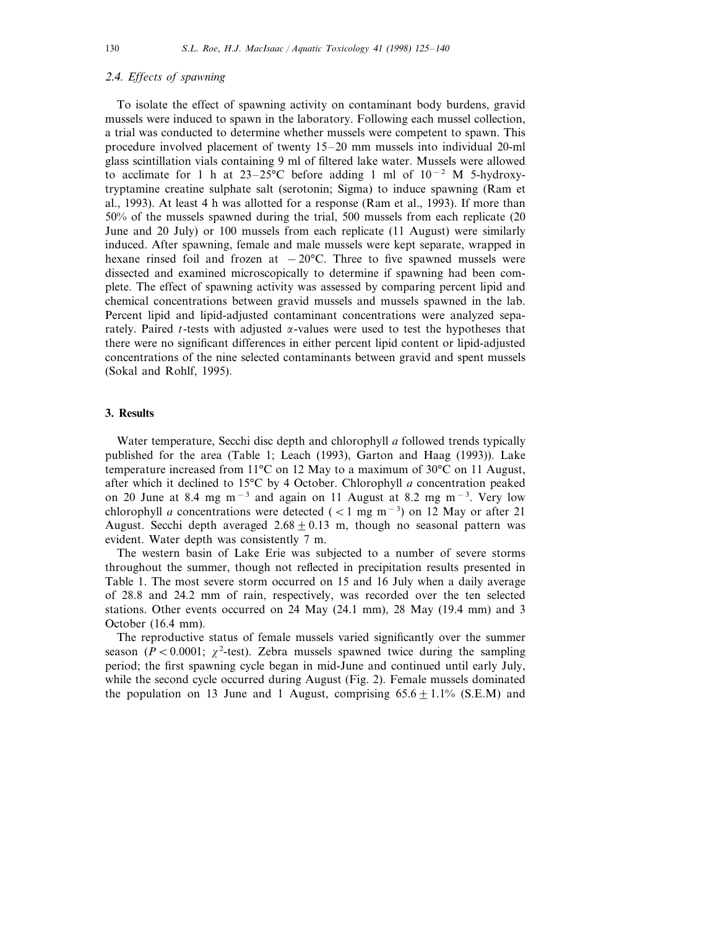# 2.4. *Effects of spawning*

To isolate the effect of spawning activity on contaminant body burdens, gravid mussels were induced to spawn in the laboratory. Following each mussel collection, a trial was conducted to determine whether mussels were competent to spawn. This procedure involved placement of twenty 15–20 mm mussels into individual 20-ml glass scintillation vials containing 9 ml of filtered lake water. Mussels were allowed to acclimate for 1 h at 23–25°C before adding 1 ml of 10−<sup>2</sup> M 5-hydroxytryptamine creatine sulphate salt (serotonin; Sigma) to induce spawning (Ram et al., 1993). At least 4 h was allotted for a response (Ram et al., 1993). If more than 50% of the mussels spawned during the trial, 500 mussels from each replicate (20 June and 20 July) or 100 mussels from each replicate (11 August) were similarly induced. After spawning, female and male mussels were kept separate, wrapped in hexane rinsed foil and frozen at  $-20^{\circ}$ C. Three to five spawned mussels were dissected and examined microscopically to determine if spawning had been complete. The effect of spawning activity was assessed by comparing percent lipid and chemical concentrations between gravid mussels and mussels spawned in the lab. Percent lipid and lipid-adjusted contaminant concentrations were analyzed separately. Paired *t*-tests with adjusted  $\alpha$ -values were used to test the hypotheses that there were no significant differences in either percent lipid content or lipid-adjusted concentrations of the nine selected contaminants between gravid and spent mussels (Sokal and Rohlf, 1995).

# **3. Results**

Water temperature, Secchi disc depth and chlorophyll *a* followed trends typically published for the area (Table 1; Leach (1993), Garton and Haag (1993)). Lake temperature increased from 11°C on 12 May to a maximum of 30°C on 11 August, after which it declined to 15°C by 4 October. Chlorophyll *a* concentration peaked on 20 June at 8.4 mg m<sup>−</sup><sup>3</sup> and again on 11 August at 8.2 mg m<sup>−</sup><sup>3</sup> . Very low chlorophyll *a* concentrations were detected ( $\lt$ 1 mg m<sup>-3</sup>) on 12 May or after 21 August. Secchi depth averaged  $2.68 + 0.13$  m, though no seasonal pattern was evident. Water depth was consistently 7 m.

The western basin of Lake Erie was subjected to a number of severe storms throughout the summer, though not reflected in precipitation results presented in Table 1. The most severe storm occurred on 15 and 16 July when a daily average of 28.8 and 24.2 mm of rain, respectively, was recorded over the ten selected stations. Other events occurred on 24 May (24.1 mm), 28 May (19.4 mm) and 3 October (16.4 mm).

The reproductive status of female mussels varied significantly over the summer season ( $P < 0.0001$ ;  $\chi^2$ -test). Zebra mussels spawned twice during the sampling period; the first spawning cycle began in mid-June and continued until early July, while the second cycle occurred during August (Fig. 2). Female mussels dominated the population on 13 June and 1 August, comprising  $65.6 + 1.1\%$  (S.E.M) and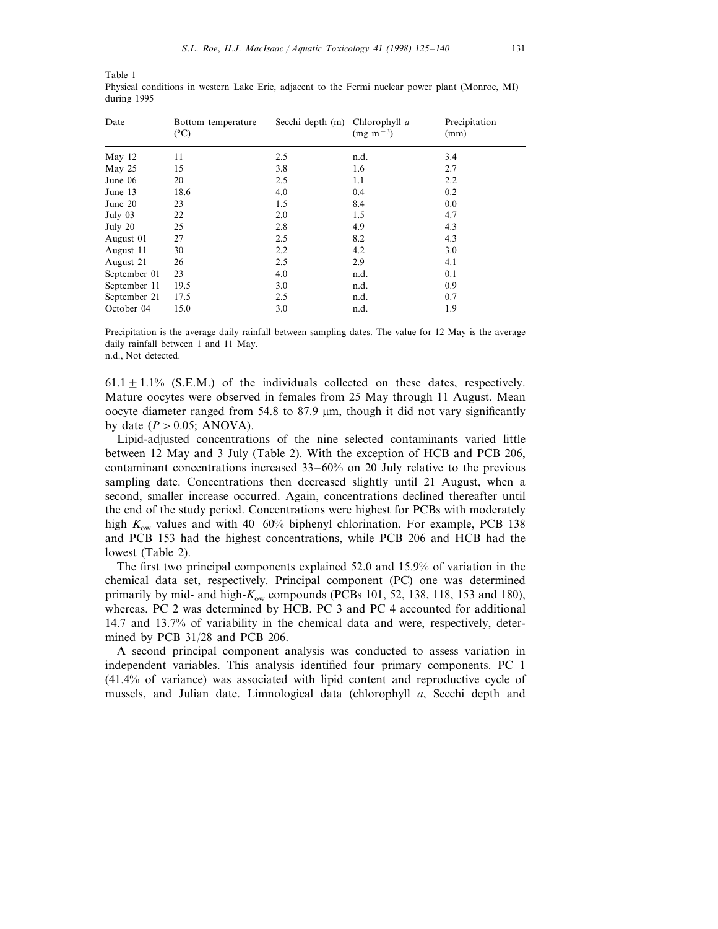Table 1 Physical conditions in western Lake Erie, adjacent to the Fermi nuclear power plant (Monroe, MI) during 1995

| Date         | Bottom temperature<br>$(^{\circ}C)$ | Secchi depth (m) | Chlorophyll a<br>$(mg m^{-3})$ | Precipitation<br>(mm) |
|--------------|-------------------------------------|------------------|--------------------------------|-----------------------|
| May 12       | 11                                  | 2.5              | n.d.                           | 3.4                   |
| May 25       | 15                                  | 3.8              | 1.6                            | 2.7                   |
| June 06      | 20                                  | 2.5              | 1.1                            | 2.2                   |
| June 13      | 18.6                                | 4.0              | 0.4                            | 0.2                   |
| June 20      | 23                                  | 1.5              | 8.4                            | 0.0                   |
| July 03      | 22                                  | 2.0              | 1.5                            | 4.7                   |
| July 20      | 25                                  | 2.8              | 4.9                            | 4.3                   |
| August 01    | 27                                  | 2.5              | 8.2                            | 4.3                   |
| August 11    | 30                                  | 2.2              | 4.2                            | 3.0                   |
| August 21    | 26                                  | 2.5              | 2.9                            | 4.1                   |
| September 01 | 23                                  | 4.0              | n.d.                           | 0.1                   |
| September 11 | 19.5                                | 3.0              | n.d.                           | 0.9                   |
| September 21 | 17.5                                | 2.5              | n.d.                           | 0.7                   |
| October 04   | 15.0                                | 3.0              | n.d.                           | 1.9                   |

Precipitation is the average daily rainfall between sampling dates. The value for 12 May is the average daily rainfall between 1 and 11 May.

n.d., Not detected.

 $61.1+1.1\%$  (S.E.M.) of the individuals collected on these dates, respectively. Mature oocytes were observed in females from 25 May through 11 August. Mean oocyte diameter ranged from  $54.8$  to  $87.9$  µm, though it did not vary significantly by date  $(P > 0.05$ ; ANOVA).

Lipid-adjusted concentrations of the nine selected contaminants varied little between 12 May and 3 July (Table 2). With the exception of HCB and PCB 206, contaminant concentrations increased 33–60% on 20 July relative to the previous sampling date. Concentrations then decreased slightly until 21 August, when a second, smaller increase occurred. Again, concentrations declined thereafter until the end of the study period. Concentrations were highest for PCBs with moderately high  $K_{\text{ow}}$  values and with 40–60% biphenyl chlorination. For example, PCB 138 and PCB 153 had the highest concentrations, while PCB 206 and HCB had the lowest (Table 2).

The first two principal components explained 52.0 and 15.9% of variation in the chemical data set, respectively. Principal component (PC) one was determined primarily by mid- and high-*K*ow compounds (PCBs 101, 52, 138, 118, 153 and 180), whereas, PC 2 was determined by HCB. PC 3 and PC 4 accounted for additional 14.7 and 13.7% of variability in the chemical data and were, respectively, determined by PCB 31/28 and PCB 206.

A second principal component analysis was conducted to assess variation in independent variables. This analysis identified four primary components. PC 1 (41.4% of variance) was associated with lipid content and reproductive cycle of mussels, and Julian date. Limnological data (chlorophyll *a*, Secchi depth and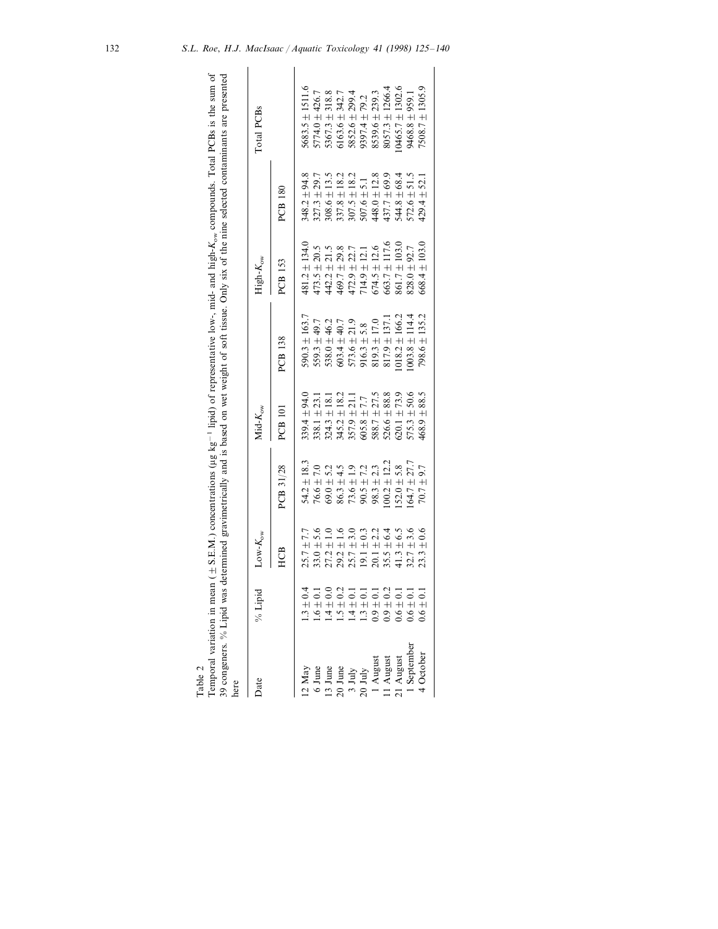| ł                                                                                                                                                                                                            |
|--------------------------------------------------------------------------------------------------------------------------------------------------------------------------------------------------------------|
| ntrations (µg kg <sup>-1</sup> lipid) of representative low-, mid- and high- $K_{\text{ew}}$ compounds. Total PCBs is the sum of<br>nean $($ $\pm$ S.E.M.) concer<br>י<br>יי<br><b>TIONICIA</b><br>ה היה היו |
| re presented<br>vas determined gravimetrically and is based on wet weight of soft tissue. Only six of the nine selected contaminant                                                                          |
| ere.<br>į                                                                                                                                                                                                    |

| )<br>}    |                            |                                                                                                                                                                                                        |                                                                                                                                                       |                                                                                                                                                                                                                                                                           |                                                                                                                                                           |                                                                                                                                                                                                                                                                        |                                                                                                                                                                                                                                                                                                             |                                                                                                                                                       |
|-----------|----------------------------|--------------------------------------------------------------------------------------------------------------------------------------------------------------------------------------------------------|-------------------------------------------------------------------------------------------------------------------------------------------------------|---------------------------------------------------------------------------------------------------------------------------------------------------------------------------------------------------------------------------------------------------------------------------|-----------------------------------------------------------------------------------------------------------------------------------------------------------|------------------------------------------------------------------------------------------------------------------------------------------------------------------------------------------------------------------------------------------------------------------------|-------------------------------------------------------------------------------------------------------------------------------------------------------------------------------------------------------------------------------------------------------------------------------------------------------------|-------------------------------------------------------------------------------------------------------------------------------------------------------|
| Jate      | ë                          | $\text{Low-}K_\text{ow}$                                                                                                                                                                               |                                                                                                                                                       | $Mid-K_{ow}$                                                                                                                                                                                                                                                              |                                                                                                                                                           | $High-K_{\rm ow}$                                                                                                                                                                                                                                                      |                                                                                                                                                                                                                                                                                                             | Total PCBs                                                                                                                                            |
|           |                            | HC <sub>B</sub>                                                                                                                                                                                        | PCB 31/28                                                                                                                                             | <b>PCB</b> 101                                                                                                                                                                                                                                                            | PCB 138                                                                                                                                                   | PCB 153                                                                                                                                                                                                                                                                | PCB 180                                                                                                                                                                                                                                                                                                     |                                                                                                                                                       |
|           | 4<br>$3 + 0.$              |                                                                                                                                                                                                        | 54.2 $\pm$ 18.3                                                                                                                                       |                                                                                                                                                                                                                                                                           | $590.3 \pm 163.7$                                                                                                                                         | $481.2 \pm 134.0$                                                                                                                                                                                                                                                      | 348.2 ± 94.8                                                                                                                                                                                                                                                                                                |                                                                                                                                                       |
|           | $\sim 10$                  | $25.7 \pm 7.7$<br>33.0 ± 5.6                                                                                                                                                                           | $76.6 \pm 7.0$                                                                                                                                        | $339.4 \pm 94.0$ $338.1 \pm 23.1$                                                                                                                                                                                                                                         | $559.3 \pm 49.7$                                                                                                                                          |                                                                                                                                                                                                                                                                        | $\begin{array}{l} 37.3 \pm 29.7 \\ 30.6 \pm 13.5 \\ 30.6 \pm 13.2 \\ 37.8 \pm 18.2 \\ 37.8 \pm 18.2 \\ 30.7 \pm 18.2 \\ 30.7 \pm 18.2 \\ 37.8 \pm 5.1 \\ 37.4 \pm 5.1 \\ 44.8 \pm 5.1 \\ 44.8 \pm 5.1 \\ 51.7 \pm 69.9 \\ 57.7 \pm 5.1 \\ 51.5 \pm 5.1 \\ 51.6 \pm 5.1 \\ 52.6 \pm 5.1 \\ 51.7 \pm 5.2 \\ $ | $5683.5 \pm 1511.6$<br>$5774.0 \pm 426.7$                                                                                                             |
| 3 June    | $\frac{1}{2}$              | $\begin{array}{l} 27.2 \pm 1.0 \\ 29.2 \pm 1.6 \\ 25.7 \pm 3.0 \\ 25.7 \pm 3.0 \\ 20.1 \pm 2.2 \\ 20.1 \pm 2.2 \\ 20.1 \pm 2.3 \\ 35.5 \pm 4.3 \pm 6.5 \\ 41.3 \pm 3.5 \\ 32.7 \pm 3.6 \\ \end{array}$ | $69.0 + 5.2$<br>$86.3 + 4.5$<br>$86.3 + 1.9$<br>$73.6 + 1.3$<br>$73.6 + 1.3$<br>$98.3 + 1.2.3$<br>$100.2 + 1.2.7$<br>$70.7 + 2.7.7$<br>$70.7 + 9.9.7$ | $\begin{array}{l} 324.3\pm18.1\\ 324.3\pm18.2\\ 345.2\pm18.2\\ 357.9\pm21.1\\ 605.8\pm7.7\\ 88.7\pm27.5\\ 588.7\pm27.5\\ 506.6\pm27.5\\ 500.1\pm73.9\\ 600.1\pm73.9\\ 60.6\pm3.8\\ 75.3\pm50.6\\ 75.3\pm50.6\\ 75.3\pm50.6\\ 75.3\pm50.6\\ 75.3\pm50.6\\ 75.3\pm50.6\\ 7$ | $\begin{array}{c} 538.0 \pm 46.2 \\ 603.4 \pm 40.7 \\ 573.6 \pm 21.9 \\ 916.3 \pm 5.8 \\ 819.3 \pm 17.0 \\ 819.3 \pm 17.0 \\ 817.9 \pm 137.1 \end{array}$ | $\begin{array}{l} 473.5\pm20.5\\ 442.2\pm21.5\\ 469.7\pm29.8\\ 469.7\pm29.8\\ 472.9\pm22.7\\ 714.9\pm12.1\\ 714.9\pm12.1\\ 663.7\pm117.6\\ 663.7\pm117.6\\ 663.7\pm117.6\\ 861.7\pm103.0\\ 861.7\pm103.0\\ 861.7\pm103.0\\ 861.7\pm103.0\\ 862.7\pm103.0\\ 862.7\pm10$ |                                                                                                                                                                                                                                                                                                             | $\begin{array}{c} 5367.3 \pm 318.8 \\ 6163.6 \pm 342.7 \\ 5852.6 \pm 299.4 \\ 9397.4 \pm 79.2 \\ 8539.6 \pm 239.3 \\ 8539.6 \pm 239.3 \\ \end{array}$ |
| June      | $\frac{1}{2}$              |                                                                                                                                                                                                        |                                                                                                                                                       |                                                                                                                                                                                                                                                                           |                                                                                                                                                           |                                                                                                                                                                                                                                                                        |                                                                                                                                                                                                                                                                                                             |                                                                                                                                                       |
| 3 July    | $1 + 0.4$<br>$\frac{4}{1}$ |                                                                                                                                                                                                        |                                                                                                                                                       |                                                                                                                                                                                                                                                                           |                                                                                                                                                           |                                                                                                                                                                                                                                                                        |                                                                                                                                                                                                                                                                                                             |                                                                                                                                                       |
| July      | $\frac{1}{2}$<br>1.3       |                                                                                                                                                                                                        |                                                                                                                                                       |                                                                                                                                                                                                                                                                           |                                                                                                                                                           |                                                                                                                                                                                                                                                                        |                                                                                                                                                                                                                                                                                                             |                                                                                                                                                       |
| August    | $\frac{1}{2}$<br>0.9       |                                                                                                                                                                                                        |                                                                                                                                                       |                                                                                                                                                                                                                                                                           |                                                                                                                                                           |                                                                                                                                                                                                                                                                        |                                                                                                                                                                                                                                                                                                             |                                                                                                                                                       |
| August    | $\frac{1}{2}$<br>0.9       |                                                                                                                                                                                                        |                                                                                                                                                       |                                                                                                                                                                                                                                                                           |                                                                                                                                                           |                                                                                                                                                                                                                                                                        |                                                                                                                                                                                                                                                                                                             |                                                                                                                                                       |
| August    | $0.6 \pm 0.$               |                                                                                                                                                                                                        |                                                                                                                                                       |                                                                                                                                                                                                                                                                           | $018.2 \pm 166.2$                                                                                                                                         |                                                                                                                                                                                                                                                                        |                                                                                                                                                                                                                                                                                                             | $0465.7 \pm 1302.6$                                                                                                                                   |
| September | $\frac{1}{2}$<br>0.6       |                                                                                                                                                                                                        |                                                                                                                                                       |                                                                                                                                                                                                                                                                           | $1003.8 \pm 114.4$                                                                                                                                        |                                                                                                                                                                                                                                                                        |                                                                                                                                                                                                                                                                                                             | 9468.8 ± 959.1                                                                                                                                        |
| October   | $0.6 \pm 0.1$              |                                                                                                                                                                                                        | $70.7 \pm$                                                                                                                                            |                                                                                                                                                                                                                                                                           | $798.6 \pm 135.2$                                                                                                                                         | $668.4 \pm 103.0$                                                                                                                                                                                                                                                      |                                                                                                                                                                                                                                                                                                             | $7508.7 \pm 1305.9$                                                                                                                                   |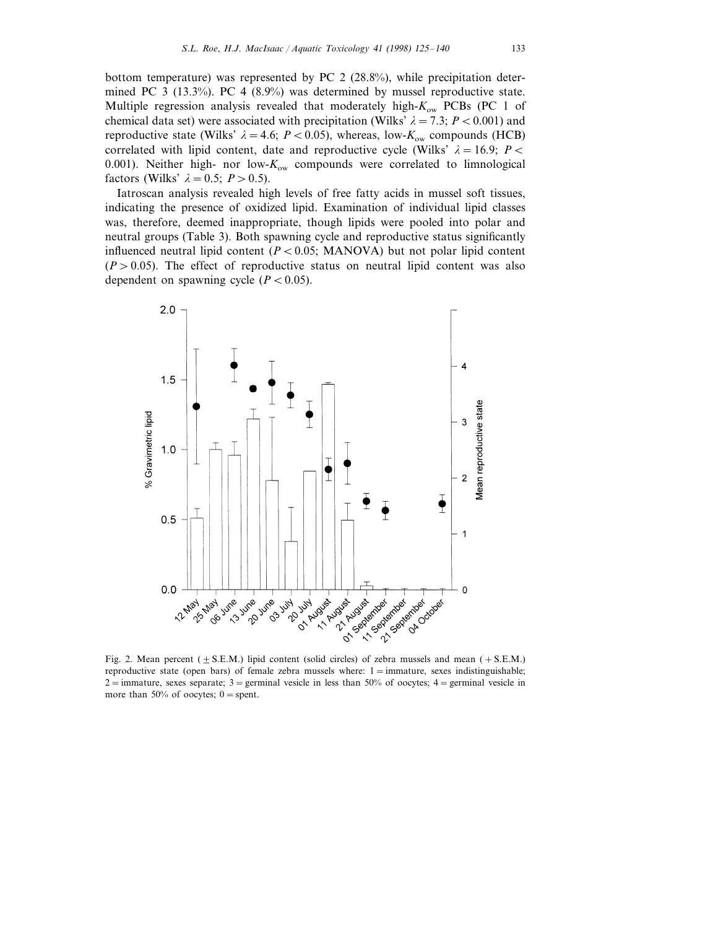bottom temperature) was represented by PC 2 (28.8%), while precipitation determined PC 3 (13.3%). PC 4 (8.9%) was determined by mussel reproductive state. Multiple regression analysis revealed that moderately high-*K*ow PCBs (PC 1 of chemical data set) were associated with precipitation (Wilks'  $\lambda = 7.3$ ;  $P < 0.001$ ) and reproductive state (Wilks'  $\lambda = 4.6$ ; *P* < 0.05), whereas, low- $K_{ow}$  compounds (HCB) correlated with lipid content, date and reproductive cycle (Wilks'  $\lambda = 16.9$ ; *P* < 0.001). Neither high- nor low-*K*ow compounds were correlated to limnological factors (Wilks'  $\lambda = 0.5$ ;  $P > 0.5$ ).

Iatroscan analysis revealed high levels of free fatty acids in mussel soft tissues, indicating the presence of oxidized lipid. Examination of individual lipid classes was, therefore, deemed inappropriate, though lipids were pooled into polar and neutral groups (Table 3). Both spawning cycle and reproductive status significantly influenced neutral lipid content  $(P < 0.05$ ; MANOVA) but not polar lipid content  $(P > 0.05)$ . The effect of reproductive status on neutral lipid content was also dependent on spawning cycle  $(P < 0.05)$ .



Fig. 2. Mean percent ( $\pm$  S.E.M.) lipid content (solid circles) of zebra mussels and mean (+S.E.M.) reproductive state (open bars) of female zebra mussels where:  $1 = \text{immuture}$ , sexes indistinguishable; 2 = immature, sexes separate; 3 = germinal vesicle in less than 50% of oocytes; 4 = germinal vesicle in more than 50% of oocytes;  $0 =$ spent.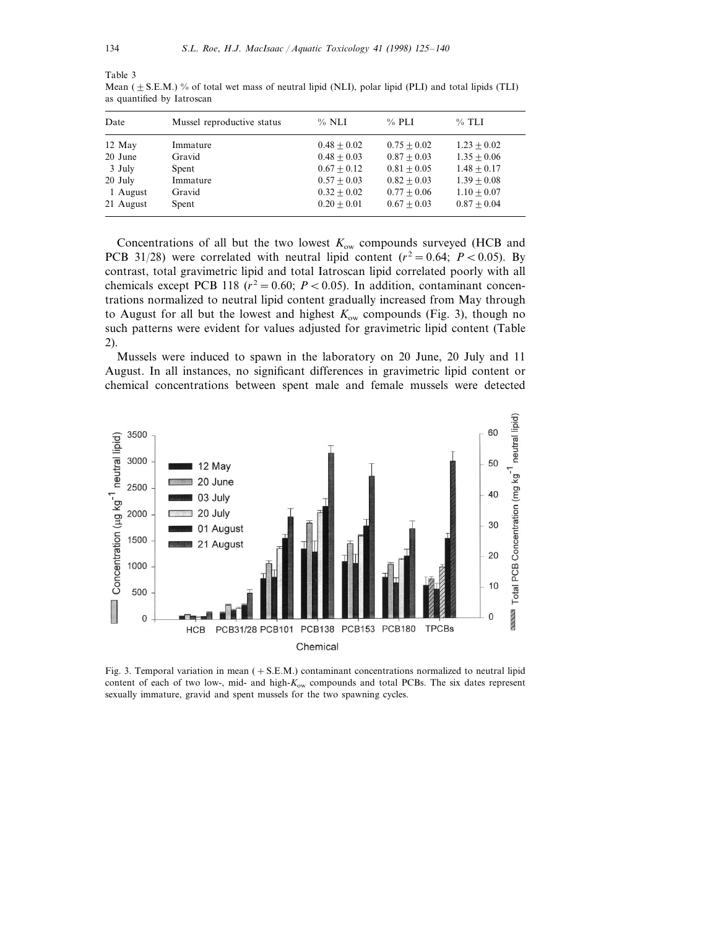| Date      | Mussel reproductive status | $\%$ NLI      | $\%$ PLI      | $%$ TLI       |
|-----------|----------------------------|---------------|---------------|---------------|
| 12 May    | Immature                   | $0.48 + 0.02$ | $0.75 + 0.02$ | $1.23 + 0.02$ |
| 20 June   | Gravid                     | $0.48 + 0.03$ | $0.87 + 0.03$ | $1.35 + 0.06$ |
| 3 July    | Spent                      | $0.67 + 0.12$ | $0.81 + 0.05$ | $1.48 + 0.17$ |
| 20 July   | Immature                   | $0.57 + 0.03$ | $0.82 + 0.03$ | $1.39 + 0.08$ |
| 1 August  | Gravid                     | $0.32 + 0.02$ | $0.77 + 0.06$ | $1.10 + 0.07$ |
| 21 August | Spent                      | $0.20 + 0.01$ | $0.67 + 0.03$ | $0.87 + 0.04$ |
|           |                            |               |               |               |

Mean ( $\pm$  S.E.M.) % of total wet mass of neutral lipid (NLI), polar lipid (PLI) and total lipids (TLI) as quantified by Iatroscan

Concentrations of all but the two lowest  $K_{ow}$  compounds surveyed (HCB and PCB 31/28) were correlated with neutral lipid content  $(r^2 = 0.64; P < 0.05)$ . By contrast, total gravimetric lipid and total Iatroscan lipid correlated poorly with all chemicals except PCB 118 ( $r^2 = 0.60$ ;  $P < 0.05$ ). In addition, contaminant concentrations normalized to neutral lipid content gradually increased from May through to August for all but the lowest and highest  $K_{ow}$  compounds (Fig. 3), though no such patterns were evident for values adjusted for gravimetric lipid content (Table 2).

Mussels were induced to spawn in the laboratory on 20 June, 20 July and 11 August. In all instances, no significant differences in gravimetric lipid content or chemical concentrations between spent male and female mussels were detected



Fig. 3. Temporal variation in mean  $(+ S.E.M.)$  contaminant concentrations normalized to neutral lipid content of each of two low-, mid- and high-*K*ow compounds and total PCBs. The six dates represent sexually immature, gravid and spent mussels for the two spawning cycles.

Table 3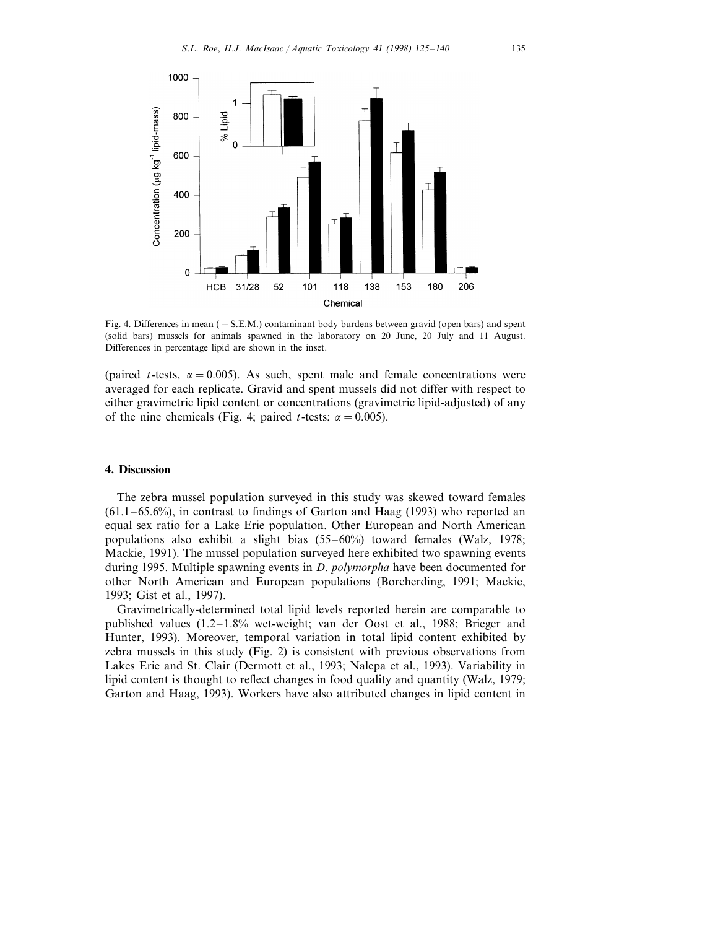

Fig. 4. Differences in mean (+S.E.M.) contaminant body burdens between gravid (open bars) and spent (solid bars) mussels for animals spawned in the laboratory on 20 June, 20 July and 11 August. Differences in percentage lipid are shown in the inset.

(paired *t*-tests,  $\alpha = 0.005$ ). As such, spent male and female concentrations were averaged for each replicate. Gravid and spent mussels did not differ with respect to either gravimetric lipid content or concentrations (gravimetric lipid-adjusted) of any of the nine chemicals (Fig. 4; paired *t*-tests;  $\alpha = 0.005$ ).

### **4. Discussion**

The zebra mussel population surveyed in this study was skewed toward females (61.1–65.6%), in contrast to findings of Garton and Haag (1993) who reported an equal sex ratio for a Lake Erie population. Other European and North American populations also exhibit a slight bias (55–60%) toward females (Walz, 1978; Mackie, 1991). The mussel population surveyed here exhibited two spawning events during 1995. Multiple spawning events in *D*. *polymorpha* have been documented for other North American and European populations (Borcherding, 1991; Mackie, 1993; Gist et al., 1997).

Gravimetrically-determined total lipid levels reported herein are comparable to published values (1.2–1.8% wet-weight; van der Oost et al., 1988; Brieger and Hunter, 1993). Moreover, temporal variation in total lipid content exhibited by zebra mussels in this study (Fig. 2) is consistent with previous observations from Lakes Erie and St. Clair (Dermott et al., 1993; Nalepa et al., 1993). Variability in lipid content is thought to reflect changes in food quality and quantity (Walz, 1979; Garton and Haag, 1993). Workers have also attributed changes in lipid content in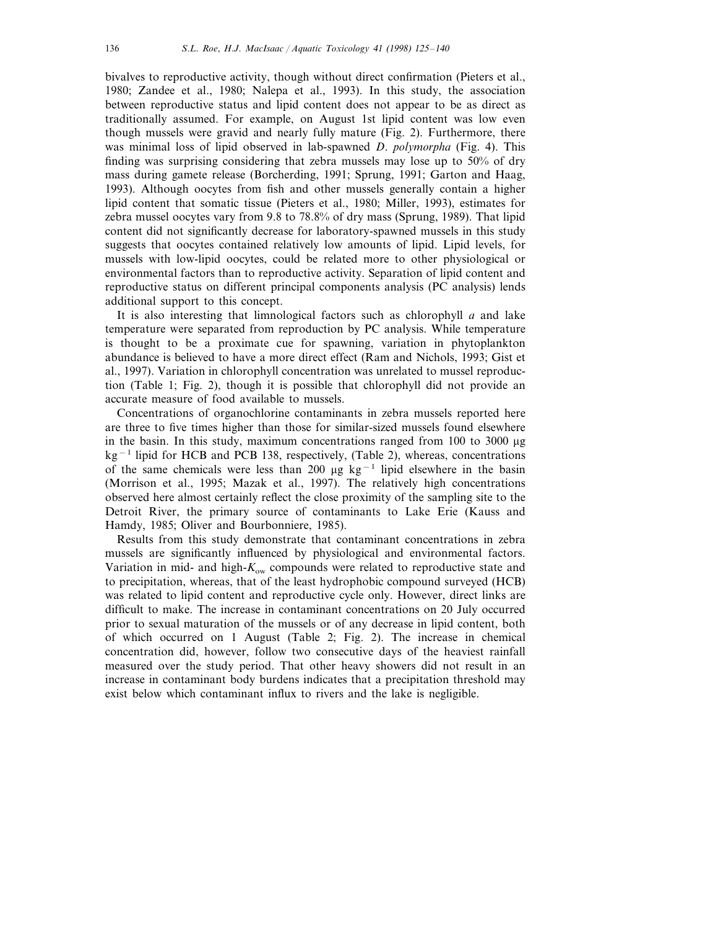bivalves to reproductive activity, though without direct confirmation (Pieters et al., 1980; Zandee et al., 1980; Nalepa et al., 1993). In this study, the association between reproductive status and lipid content does not appear to be as direct as traditionally assumed. For example, on August 1st lipid content was low even though mussels were gravid and nearly fully mature (Fig. 2). Furthermore, there was minimal loss of lipid observed in lab-spawned *D*. *polymorpha* (Fig. 4). This finding was surprising considering that zebra mussels may lose up to 50% of dry mass during gamete release (Borcherding, 1991; Sprung, 1991; Garton and Haag, 1993). Although oocytes from fish and other mussels generally contain a higher lipid content that somatic tissue (Pieters et al., 1980; Miller, 1993), estimates for zebra mussel oocytes vary from 9.8 to 78.8% of dry mass (Sprung, 1989). That lipid content did not significantly decrease for laboratory-spawned mussels in this study suggests that oocytes contained relatively low amounts of lipid. Lipid levels, for mussels with low-lipid oocytes, could be related more to other physiological or environmental factors than to reproductive activity. Separation of lipid content and reproductive status on different principal components analysis (PC analysis) lends additional support to this concept.

It is also interesting that limnological factors such as chlorophyll *a* and lake temperature were separated from reproduction by PC analysis. While temperature is thought to be a proximate cue for spawning, variation in phytoplankton abundance is believed to have a more direct effect (Ram and Nichols, 1993; Gist et al., 1997). Variation in chlorophyll concentration was unrelated to mussel reproduction (Table 1; Fig. 2), though it is possible that chlorophyll did not provide an accurate measure of food available to mussels.

Concentrations of organochlorine contaminants in zebra mussels reported here are three to five times higher than those for similar-sized mussels found elsewhere in the basin. In this study, maximum concentrations ranged from 100 to 3000 mg kg<sup>−</sup><sup>1</sup> lipid for HCB and PCB 138, respectively, (Table 2), whereas, concentrations of the same chemicals were less than 200 µg kg<sup>-1</sup> lipid elsewhere in the basin (Morrison et al., 1995; Mazak et al., 1997). The relatively high concentrations observed here almost certainly reflect the close proximity of the sampling site to the Detroit River, the primary source of contaminants to Lake Erie (Kauss and Hamdy, 1985; Oliver and Bourbonniere, 1985).

Results from this study demonstrate that contaminant concentrations in zebra mussels are significantly influenced by physiological and environmental factors. Variation in mid- and high- $K_{\text{ow}}$  compounds were related to reproductive state and to precipitation, whereas, that of the least hydrophobic compound surveyed (HCB) was related to lipid content and reproductive cycle only. However, direct links are difficult to make. The increase in contaminant concentrations on 20 July occurred prior to sexual maturation of the mussels or of any decrease in lipid content, both of which occurred on 1 August (Table 2; Fig. 2). The increase in chemical concentration did, however, follow two consecutive days of the heaviest rainfall measured over the study period. That other heavy showers did not result in an increase in contaminant body burdens indicates that a precipitation threshold may exist below which contaminant influx to rivers and the lake is negligible.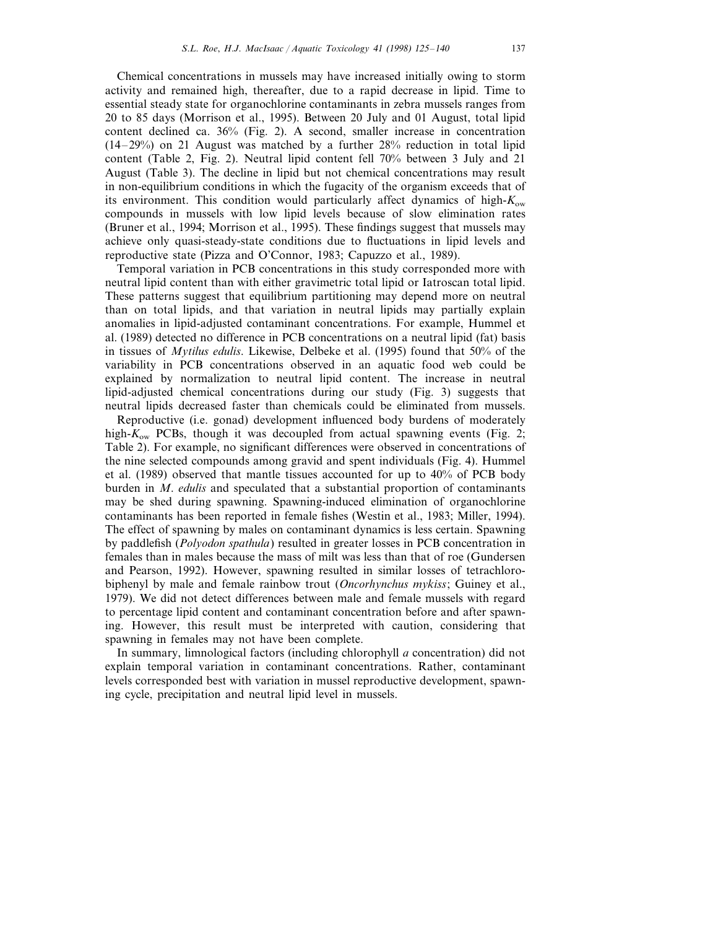Chemical concentrations in mussels may have increased initially owing to storm activity and remained high, thereafter, due to a rapid decrease in lipid. Time to essential steady state for organochlorine contaminants in zebra mussels ranges from 20 to 85 days (Morrison et al., 1995). Between 20 July and 01 August, total lipid content declined ca. 36% (Fig. 2). A second, smaller increase in concentration (14–29%) on 21 August was matched by a further 28% reduction in total lipid content (Table 2, Fig. 2). Neutral lipid content fell 70% between 3 July and 21 August (Table 3). The decline in lipid but not chemical concentrations may result in non-equilibrium conditions in which the fugacity of the organism exceeds that of its environment. This condition would particularly affect dynamics of high-*K*ow compounds in mussels with low lipid levels because of slow elimination rates (Bruner et al., 1994; Morrison et al., 1995). These findings suggest that mussels may achieve only quasi-steady-state conditions due to fluctuations in lipid levels and reproductive state (Pizza and O'Connor, 1983; Capuzzo et al., 1989).

Temporal variation in PCB concentrations in this study corresponded more with neutral lipid content than with either gravimetric total lipid or Iatroscan total lipid. These patterns suggest that equilibrium partitioning may depend more on neutral than on total lipids, and that variation in neutral lipids may partially explain anomalies in lipid-adjusted contaminant concentrations. For example, Hummel et al. (1989) detected no difference in PCB concentrations on a neutral lipid (fat) basis in tissues of *Mytilus edulis*. Likewise, Delbeke et al. (1995) found that 50% of the variability in PCB concentrations observed in an aquatic food web could be explained by normalization to neutral lipid content. The increase in neutral lipid-adjusted chemical concentrations during our study (Fig. 3) suggests that neutral lipids decreased faster than chemicals could be eliminated from mussels.

Reproductive (i.e. gonad) development influenced body burdens of moderately high- $K_{ow}$  PCBs, though it was decoupled from actual spawning events (Fig. 2; Table 2). For example, no significant differences were observed in concentrations of the nine selected compounds among gravid and spent individuals (Fig. 4). Hummel et al. (1989) observed that mantle tissues accounted for up to 40% of PCB body burden in *M*. *edulis* and speculated that a substantial proportion of contaminants may be shed during spawning. Spawning-induced elimination of organochlorine contaminants has been reported in female fishes (Westin et al., 1983; Miller, 1994). The effect of spawning by males on contaminant dynamics is less certain. Spawning by paddlefish (*Polyodon spathula*) resulted in greater losses in PCB concentration in females than in males because the mass of milt was less than that of roe (Gundersen and Pearson, 1992). However, spawning resulted in similar losses of tetrachlorobiphenyl by male and female rainbow trout (*Oncorhynchus mykiss*; Guiney et al., 1979). We did not detect differences between male and female mussels with regard to percentage lipid content and contaminant concentration before and after spawning. However, this result must be interpreted with caution, considering that spawning in females may not have been complete.

In summary, limnological factors (including chlorophyll *a* concentration) did not explain temporal variation in contaminant concentrations. Rather, contaminant levels corresponded best with variation in mussel reproductive development, spawning cycle, precipitation and neutral lipid level in mussels.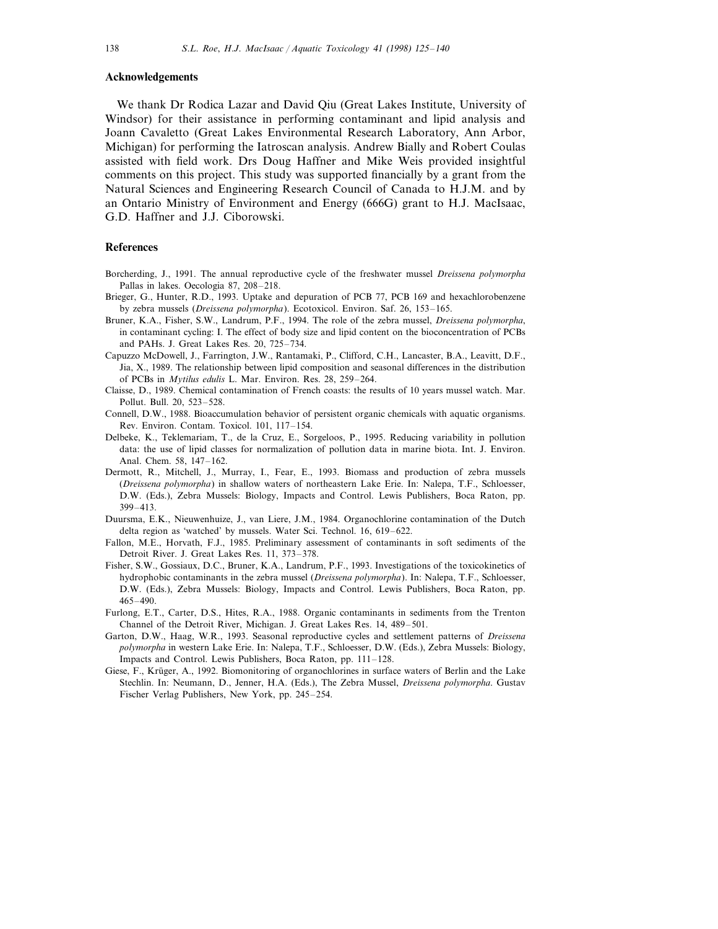#### **Acknowledgements**

We thank Dr Rodica Lazar and David Qiu (Great Lakes Institute, University of Windsor) for their assistance in performing contaminant and lipid analysis and Joann Cavaletto (Great Lakes Environmental Research Laboratory, Ann Arbor, Michigan) for performing the Iatroscan analysis. Andrew Bially and Robert Coulas assisted with field work. Drs Doug Haffner and Mike Weis provided insightful comments on this project. This study was supported financially by a grant from the Natural Sciences and Engineering Research Council of Canada to H.J.M. and by an Ontario Ministry of Environment and Energy (666G) grant to H.J. MacIsaac, G.D. Haffner and J.J. Ciborowski.

#### **References**

- Borcherding, J., 1991. The annual reproductive cycle of the freshwater mussel *Dreissena polymorpha* Pallas in lakes. Oecologia 87, 208–218.
- Brieger, G., Hunter, R.D., 1993. Uptake and depuration of PCB 77, PCB 169 and hexachlorobenzene by zebra mussels (*Dreissena polymorpha*). Ecotoxicol. Environ. Saf. 26, 153–165.
- Bruner, K.A., Fisher, S.W., Landrum, P.F., 1994. The role of the zebra mussel, *Dreissena polymorpha*, in contaminant cycling: I. The effect of body size and lipid content on the bioconcentration of PCBs and PAHs. J. Great Lakes Res. 20, 725–734.
- Capuzzo McDowell, J., Farrington, J.W., Rantamaki, P., Clifford, C.H., Lancaster, B.A., Leavitt, D.F., Jia, X., 1989. The relationship between lipid composition and seasonal differences in the distribution of PCBs in *Mytilus edulis* L. Mar. Environ. Res. 28, 259–264.
- Claisse, D., 1989. Chemical contamination of French coasts: the results of 10 years mussel watch. Mar. Pollut. Bull. 20, 523–528.
- Connell, D.W., 1988. Bioaccumulation behavior of persistent organic chemicals with aquatic organisms. Rev. Environ. Contam. Toxicol. 101, 117–154.
- Delbeke, K., Teklemariam, T., de la Cruz, E., Sorgeloos, P., 1995. Reducing variability in pollution data: the use of lipid classes for normalization of pollution data in marine biota. Int. J. Environ. Anal. Chem. 58, 147–162.
- Dermott, R., Mitchell, J., Murray, I., Fear, E., 1993. Biomass and production of zebra mussels (*Dreissena polymorpha*) in shallow waters of northeastern Lake Erie. In: Nalepa, T.F., Schloesser, D.W. (Eds.), Zebra Mussels: Biology, Impacts and Control. Lewis Publishers, Boca Raton, pp. 399–413.
- Duursma, E.K., Nieuwenhuize, J., van Liere, J.M., 1984. Organochlorine contamination of the Dutch delta region as 'watched' by mussels. Water Sci. Technol. 16, 619–622.
- Fallon, M.E., Horvath, F.J., 1985. Preliminary assessment of contaminants in soft sediments of the Detroit River. J. Great Lakes Res. 11, 373–378.
- Fisher, S.W., Gossiaux, D.C., Bruner, K.A., Landrum, P.F., 1993. Investigations of the toxicokinetics of hydrophobic contaminants in the zebra mussel (*Dreissena polymorpha*). In: Nalepa, T.F., Schloesser, D.W. (Eds.), Zebra Mussels: Biology, Impacts and Control. Lewis Publishers, Boca Raton, pp. 465–490.
- Furlong, E.T., Carter, D.S., Hites, R.A., 1988. Organic contaminants in sediments from the Trenton Channel of the Detroit River, Michigan. J. Great Lakes Res. 14, 489–501.
- Garton, D.W., Haag, W.R., 1993. Seasonal reproductive cycles and settlement patterns of *Dreissena polymorpha* in western Lake Erie. In: Nalepa, T.F., Schloesser, D.W. (Eds.), Zebra Mussels: Biology, Impacts and Control. Lewis Publishers, Boca Raton, pp. 111–128.
- Giese, F., Krüger, A., 1992. Biomonitoring of organochlorines in surface waters of Berlin and the Lake Stechlin. In: Neumann, D., Jenner, H.A. (Eds.), The Zebra Mussel, *Dreissena polymorpha*. Gustav Fischer Verlag Publishers, New York, pp. 245–254.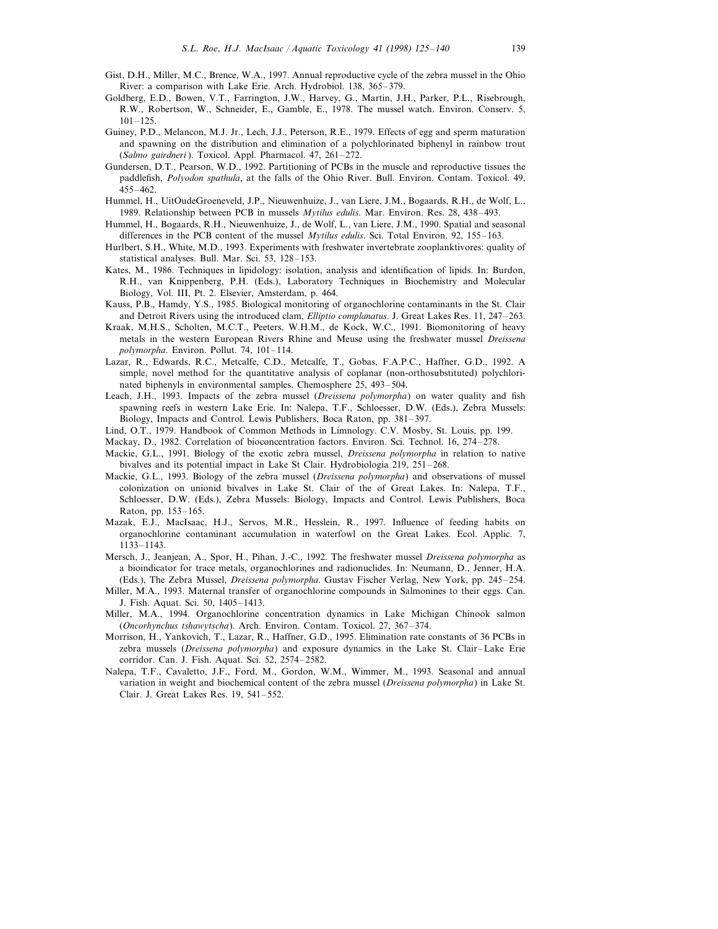- Gist, D.H., Miller, M.C., Brence, W.A., 1997. Annual reproductive cycle of the zebra mussel in the Ohio River: a comparison with Lake Erie. Arch. Hydrobiol. 138, 365–379.
- Goldberg, E.D., Bowen, V.T., Farrington, J.W., Harvey, G., Martin, J.H., Parker, P.L., Risebrough, R.W., Robertson, W., Schneider, E., Gamble, E., 1978. The mussel watch. Environ. Conserv. 5, 101–125.
- Guiney, P.D., Melancon, M.J. Jr., Lech, J.J., Peterson, R.E., 1979. Effects of egg and sperm maturation and spawning on the distribution and elimination of a polychlorinated biphenyl in rainbow trout (*Salmo gairdneri* ). Toxicol. Appl. Pharmacol. 47, 261–272.
- Gundersen, D.T., Pearson, W.D., 1992. Partitioning of PCBs in the muscle and reproductive tissues the paddlefish, *Polyodon spathula*, at the falls of the Ohio River. Bull. Environ. Contam. Toxicol. 49, 455–462.
- Hummel, H., UitOudeGroeneveld, J.P., Nieuwenhuize, J., van Liere, J.M., Bogaards, R.H., de Wolf, L., 1989. Relationship between PCB in mussels *Mytilus edulis*. Mar. Environ. Res. 28, 438–493.
- Hummel, H., Bogaards, R.H., Nieuwenhuize, J., de Wolf, L., van Liere, J.M., 1990. Spatial and seasonal differences in the PCB content of the mussel *Mytilus edulis*. Sci. Total Environ. 92, 155–163.
- Hurlbert, S.H., White, M.D., 1993. Experiments with freshwater invertebrate zooplanktivores: quality of statistical analyses. Bull. Mar. Sci. 53, 128–153.
- Kates, M., 1986. Techniques in lipidology: isolation, analysis and identification of lipids. In: Burdon, R.H., van Knippenberg, P.H. (Eds.), Laboratory Techniques in Biochemistry and Molecular Biology, Vol. III, Pt. 2. Elsevier, Amsterdam, p. 464.
- Kauss, P.B., Hamdy, Y.S., 1985. Biological monitoring of organochlorine contaminants in the St. Clair and Detroit Rivers using the introduced clam, *Elliptio complanatus*. J. Great Lakes Res. 11, 247–263.
- Kraak, M.H.S., Scholten, M.C.T., Peeters, W.H.M., de Kock, W.C., 1991. Biomonitoring of heavy metals in the western European Rivers Rhine and Meuse using the freshwater mussel *Dreissena polymorpha*. Environ. Pollut. 74, 101–114.
- Lazar, R., Edwards, R.C., Metcalfe, C.D., Metcalfe, T., Gobas, F.A.P.C., Haffner, G.D., 1992. A simple, novel method for the quantitative analysis of coplanar (non-orthosubstituted) polychlorinated biphenyls in environmental samples. Chemosphere 25, 493–504.
- Leach, J.H., 1993. Impacts of the zebra mussel (*Dreissena polymorpha*) on water quality and fish spawning reefs in western Lake Erie. In: Nalepa, T.F., Schloesser, D.W. (Eds.), Zebra Mussels: Biology, Impacts and Control. Lewis Publishers, Boca Raton, pp. 381–397.
- Lind, O.T., 1979. Handbook of Common Methods in Limnology. C.V. Mosby, St. Louis, pp. 199.
- Mackay, D., 1982. Correlation of bioconcentration factors. Environ. Sci. Technol. 16, 274–278.
- Mackie, G.L., 1991. Biology of the exotic zebra mussel, *Dreissena polymorpha* in relation to native bivalves and its potential impact in Lake St Clair. Hydrobiologia 219, 251–268.
- Mackie, G.L., 1993. Biology of the zebra mussel (*Dreissena polymorpha*) and observations of mussel colonization on unionid bivalves in Lake St. Clair of the of Great Lakes. In: Nalepa, T.F., Schloesser, D.W. (Eds.), Zebra Mussels: Biology, Impacts and Control. Lewis Publishers, Boca Raton, pp. 153–165.
- Mazak, E.J., MacIsaac, H.J., Servos, M.R., Hesslein, R., 1997. Influence of feeding habits on organochlorine contaminant accumulation in waterfowl on the Great Lakes. Ecol. Applic. 7, 1133–1143.
- Mersch, J., Jeanjean, A., Spor, H., Pihan, J.-C., 1992. The freshwater mussel *Dreissena polymorpha* as a bioindicator for trace metals, organochlorines and radionuclides. In: Neumann, D., Jenner, H.A. (Eds.), The Zebra Mussel, *Dreissena polymorpha*. Gustav Fischer Verlag, New York, pp. 245–254.
- Miller, M.A., 1993. Maternal transfer of organochlorine compounds in Salmonines to their eggs. Can. J. Fish. Aquat. Sci. 50, 1405–1413.
- Miller, M.A., 1994. Organochlorine concentration dynamics in Lake Michigan Chinook salmon (*Oncorhynchus tshawytscha*). Arch. Environ. Contam. Toxicol. 27, 367–374.
- Morrison, H., Yankovich, T., Lazar, R., Haffner, G.D., 1995. Elimination rate constants of 36 PCBs in zebra mussels (*Dreissena polymorpha*) and exposure dynamics in the Lake St. Clair–Lake Erie corridor. Can. J. Fish. Aquat. Sci. 52, 2574–2582.
- Nalepa, T.F., Cavaletto, J.F., Ford, M., Gordon, W.M., Wimmer, M., 1993. Seasonal and annual variation in weight and biochemical content of the zebra mussel (*Dreissena polymorpha*) in Lake St. Clair. J. Great Lakes Res. 19, 541–552.